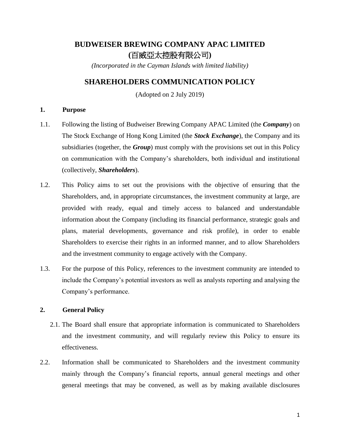# **BUDWEISER BREWING COMPANY APAC LIMITED (**百威亞太控股有限公司**)**

*(Incorporated in the Cayman Islands with limited liability)*

# **SHAREHOLDERS COMMUNICATION POLICY**

(Adopted on 2 July 2019)

# **1. Purpose**

- 1.1. Following the listing of Budweiser Brewing Company APAC Limited (the *Company*) on The Stock Exchange of Hong Kong Limited (the *Stock Exchange*), the Company and its subsidiaries (together, the *Group*) must comply with the provisions set out in this Policy on communication with the Company's shareholders, both individual and institutional (collectively, *Shareholders*).
- 1.2. This Policy aims to set out the provisions with the objective of ensuring that the Shareholders, and, in appropriate circumstances, the investment community at large, are provided with ready, equal and timely access to balanced and understandable information about the Company (including its financial performance, strategic goals and plans, material developments, governance and risk profile), in order to enable Shareholders to exercise their rights in an informed manner, and to allow Shareholders and the investment community to engage actively with the Company.
- 1.3. For the purpose of this Policy, references to the investment community are intended to include the Company's potential investors as well as analysts reporting and analysing the Company's performance.

# **2. General Policy**

- 2.1. The Board shall ensure that appropriate information is communicated to Shareholders and the investment community, and will regularly review this Policy to ensure its effectiveness.
- 2.2. Information shall be communicated to Shareholders and the investment community mainly through the Company's financial reports, annual general meetings and other general meetings that may be convened, as well as by making available disclosures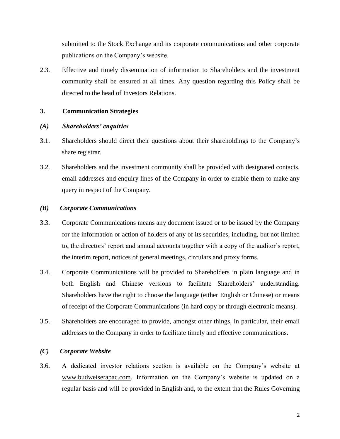submitted to the Stock Exchange and its corporate communications and other corporate publications on the Company's website.

2.3. Effective and timely dissemination of information to Shareholders and the investment community shall be ensured at all times. Any question regarding this Policy shall be directed to the head of Investors Relations.

#### **3. Communication Strategies**

#### *(A) Shareholders' enquiries*

- 3.1. Shareholders should direct their questions about their shareholdings to the Company's share registrar.
- 3.2. Shareholders and the investment community shall be provided with designated contacts, email addresses and enquiry lines of the Company in order to enable them to make any query in respect of the Company.

#### *(B) Corporate Communications*

- 3.3. Corporate Communications means any document issued or to be issued by the Company for the information or action of holders of any of its securities, including, but not limited to, the directors' report and annual accounts together with a copy of the auditor's report, the interim report, notices of general meetings, circulars and proxy forms.
- 3.4. Corporate Communications will be provided to Shareholders in plain language and in both English and Chinese versions to facilitate Shareholders' understanding. Shareholders have the right to choose the language (either English or Chinese) or means of receipt of the Corporate Communications (in hard copy or through electronic means).
- 3.5. Shareholders are encouraged to provide, amongst other things, in particular, their email addresses to the Company in order to facilitate timely and effective communications.

#### *(C) Corporate Website*

3.6. A dedicated investor relations section is available on the Company's website at www.budweiserapac.com. Information on the Company's website is updated on a regular basis and will be provided in English and, to the extent that the Rules Governing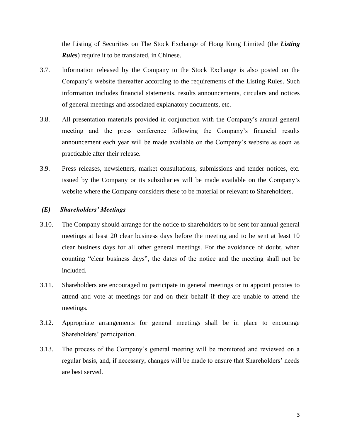the Listing of Securities on The Stock Exchange of Hong Kong Limited (the *Listing Rules*) require it to be translated, in Chinese.

- 3.7. Information released by the Company to the Stock Exchange is also posted on the Company's website thereafter according to the requirements of the Listing Rules. Such information includes financial statements, results announcements, circulars and notices of general meetings and associated explanatory documents, etc.
- 3.8. All presentation materials provided in conjunction with the Company's annual general meeting and the press conference following the Company's financial results announcement each year will be made available on the Company's website as soon as practicable after their release.
- 3.9. Press releases, newsletters, market consultations, submissions and tender notices, etc. issued by the Company or its subsidiaries will be made available on the Company's website where the Company considers these to be material or relevant to Shareholders.

#### *(E) Shareholders' Meetings*

- 3.10. The Company should arrange for the notice to shareholders to be sent for annual general meetings at least 20 clear business days before the meeting and to be sent at least 10 clear business days for all other general meetings. For the avoidance of doubt, when counting "clear business days", the dates of the notice and the meeting shall not be included.
- 3.11. Shareholders are encouraged to participate in general meetings or to appoint proxies to attend and vote at meetings for and on their behalf if they are unable to attend the meetings.
- 3.12. Appropriate arrangements for general meetings shall be in place to encourage Shareholders' participation.
- 3.13. The process of the Company's general meeting will be monitored and reviewed on a regular basis, and, if necessary, changes will be made to ensure that Shareholders' needs are best served.